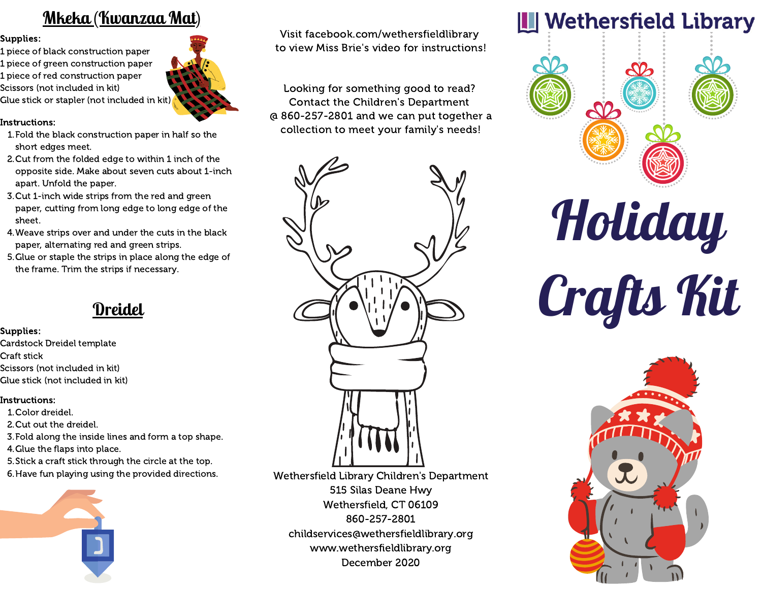### **Mkeka (Kwanzaa Mat)**

#### Supplies:

1 piece of black construction paper 1 piece of green construction paper 1 piece of red construction paper Scissors (not included in kit) Glue stick or stapler (not included in kit)

### Instructions:

- Fold the black construction paper in half so the 1. short edges meet.
- 2.Cut from the folded edge to within 1 inch of the opposite side. Make about seven cuts about 1-inch apart. Unfold the paper.
- 3.Cut 1-inch wide strips from the red and green paper, cutting from long edge to long edge of the sheet.
- Weave strips over and under the cuts in the black 4. paper, alternating red and green strips.
- 5. Glue or staple the strips in place along the edge of the frame. Trim the strips if necessary.

## **Dreidel**

### Supplies:

- Cardstock Dreidel template
- Craft stick
- Scissors (not included in kit)
- Glue stick (not included in kit)

### Instructions:

- Color dreidel. 1.
- 2.Cut out the dreidel.
- Fold along the inside lines and form a top shape. 3.
- 4. Glue the flaps into place.
- Stick a craft stick through the circle at the top. 5.
- 6. Have fun playing using the provided directions.



Visit facebook.com/wethersfieldlibrary to view Miss Brie's video for instructions!

Looking for something good to read? Contact the Children's Department @ 860-257-2801 and we can put together a collection to meet your family's needs!



Wethersfield Library Children's Department 515 Silas Deane Hwy Wethersfield, CT 06109 860-257-2801 childservices@wethersfieldlibrary.org www.wethersfieldlibrary.org December 2020



# **Holiday** Crafts Kit